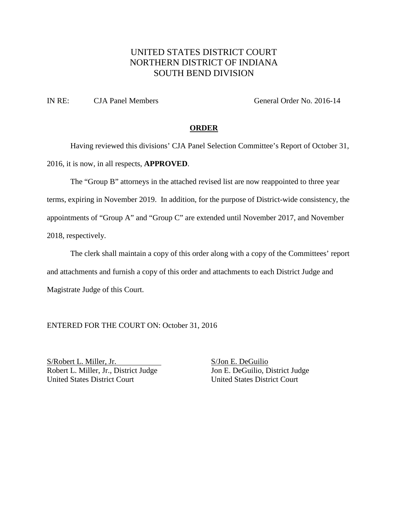# UNITED STATES DISTRICT COURT NORTHERN DISTRICT OF INDIANA SOUTH BEND DIVISION

IN RE: CJA Panel Members General Order No. 2016-14

### **ORDER**

Having reviewed this divisions' CJA Panel Selection Committee's Report of October 31, 2016, it is now, in all respects, **APPROVED**.

The "Group B" attorneys in the attached revised list are now reappointed to three year terms, expiring in November 2019. In addition, for the purpose of District-wide consistency, the appointments of "Group A" and "Group C" are extended until November 2017, and November 2018, respectively.

The clerk shall maintain a copy of this order along with a copy of the Committees' report and attachments and furnish a copy of this order and attachments to each District Judge and Magistrate Judge of this Court.

ENTERED FOR THE COURT ON: October 31, 2016

S/Robert L. Miller, Jr. S/Jon E. DeGuilio Robert L. Miller, Jr., District Judge Jon E. DeGuilio, District Judge United States District Court United States District Court